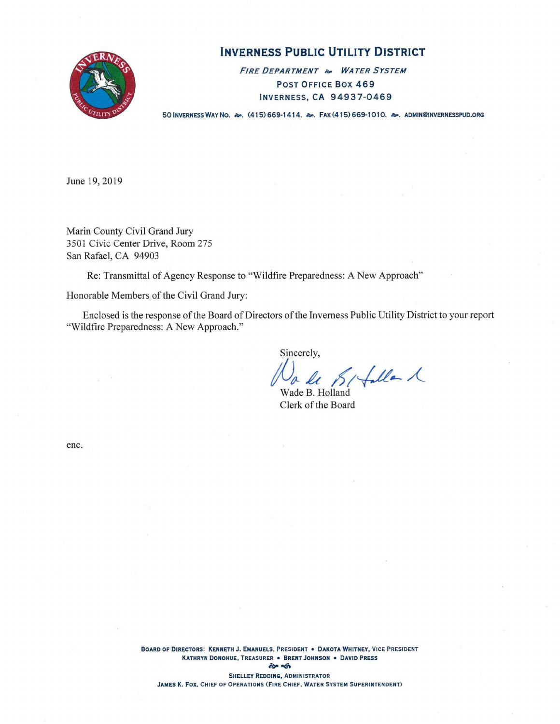

# **INVERNESS PUBLIC UTILITY DISTRICT**

**FIRE DEPARTMENT** a. **WATER SYSTEM**  POST OFFICE BOX 469 INVERNESS,CA 94937-0469

50 INVERNESS WAY No.  $\approx$ . (415) 669-1414.  $\approx$ . Fax (415) 669-1010.  $\approx$ . ADMIN@INVERNESSPUD.ORG

June 19, 2019

Marin County Civil Grand Jury 3501 Civic Center Drive, Room 275 San Rafael, CA 94903

Re: Transmittal of Agency Response to "Wildfire Preparedness: A New Approach"

Honorable Members of the Civil Grand Jury:

Enclosed is the response of the Board of Directors of the Inverness Public Utility District to your report "Wildfire Preparedness: A New Approach."

Sincerely,

Walle SI faller 1

Clerk of the Board

enc.

**BOARD OF DIRECTORS: KENNETH J. EMANUELS, PRESIDENT • DAKOTA WHITNEY, VICE PRESIDENT KATHRYN DONOHUE, TREASURER • BRENT JOHNSON • DAVID PRESS p** of **SHELLEY REDDING, ADMINISTRATOR** 

**JAMES K. Fox. CHIEF OF OPERATIONS (FIRE CHIEF, WATER SYSTEM SUPERINTENDENT)**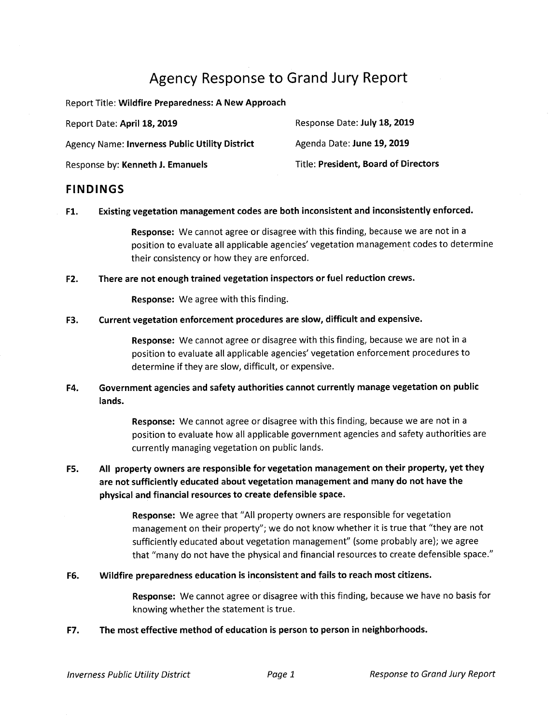# Agency Response to Grand Jury Report

Report Title: **Wildfire Preparedness: A New Approach** 

| Report Date: April 18, 2019                           | Response Date: July 18, 2019                |
|-------------------------------------------------------|---------------------------------------------|
| <b>Agency Name: Inverness Public Utility District</b> | Agenda Date: June 19, 2019                  |
| Response by: Kenneth J. Emanuels                      | <b>Title: President, Board of Directors</b> |

# **FINDINGS**

**Fl. Existing vegetation management codes are both inconsistent and inconsistently enforced.** 

**Response:** We cannot agree or disagree with this finding, because we are not in a position to evaluate all applicable agencies' vegetation management codes to determine their consistency or how they are enforced.

**F2. There are not enough trained vegetation inspectors or fuel reduction crews.** 

**Response:** We agree with this finding.

## **F3. Current vegetation enforcement procedures are slow, difficult and expensive.**

**Response:** We cannot agree or disagree with this finding, because we are not in a position to evaluate all applicable agencies' vegetation enforcement procedures to determine if they are slow, difficult, or expensive.

# **F4. Government agencies and safety authorities cannot currently manage vegetation on public lands.**

**Response:** We cannot agree or disagree with this finding, because we are not in a position to evaluate how all applicable government agencies and safety authorities are currently managing vegetation on public lands.

**F5. All property owners are responsible for vegetation management on their property, yet they are not sufficiently educated about vegetation management and many do not have the physical and financial resources to create defensible space.** 

> **Response:** We agree that "All property owners are responsible for vegetation management on their property"; we do not know whether it is true that "they are not sufficiently educated about vegetation management" (some probably are); we agree that "many do not have the physical and financial resources to create defensible space."

**F6. Wildfire preparedness education is inconsistent and fails to reach most citizens.** 

**Response:** We cannot agree or disagree with this finding, because we have no basis for knowing whether the statement is true.

**F7. The most effective method of education is person to person in neighborhoods.**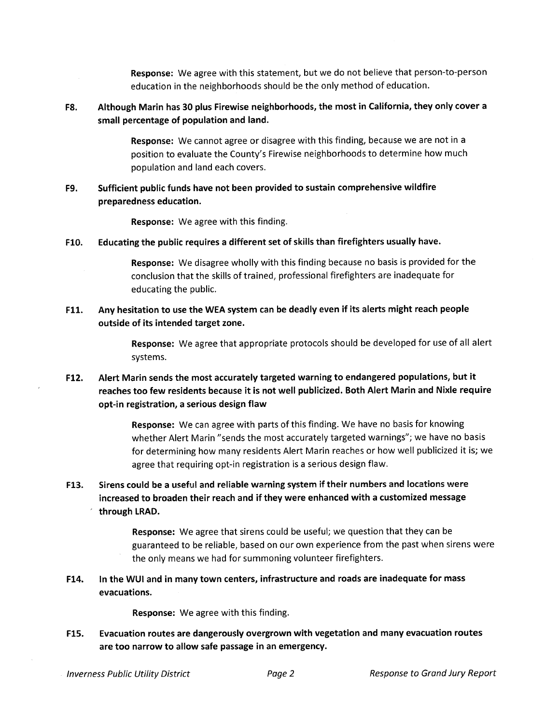**Response:** We agree with this statement, but we do not believe that person-to-person education in the neighborhoods should be the only method of education.

# F8. Although Marin has 30 plus Firewise neighborhoods, the most in California, they only cover a **small percentage of population and land.**

**Response:** We cannot agree or disagree with this finding, because we are not in a position to evaluate the County's Firewise neighborhoods to determine how much population and land each covers.

# **F9. Sufficient public funds have not been provided to sustain comprehensive wildfire preparedness education.**

**Response:** We agree with this finding.

### **F10. Educating the public requires a different set of skills than firefighters usually have.**

**Response:** We disagree wholly with this finding because no basis is provided for the conclusion that the skills of trained, professional firefighters are inadequate for educating the public.

# **F11. Any hesitation to use the WEA system can be deadly even if its alerts might reach people outside of its intended target zone.**

**Response:** We agree that appropriate protocols should be developed for use of all alert systems.

# F12. Alert Marin sends the most accurately targeted warning to endangered populations, but it reaches too few residents because it is not well publicized. Both Alert Marin and Nixle require **opt-in registration, a serious design flaw**

**Response:** We can agree with parts of this finding. We have no basis for knowing whether Alert Marin "sends the most accurately targeted warnings"; we have no basis for determining how many residents Alert Marin reaches or how well publicized it is; we agree that requiring opt-in registration is a serious design flaw.

**F13. Sirens could be a useful and reliable warning system if their numbers and locations were increased to broaden their reach and if they were enhanced with a customized message through LRAD.** 

> **Response:** We agree that sirens could be useful; we question that they can be guaranteed to be reliable, based on our own experience from the past when sirens were the only means we had for summoning volunteer firefighters.

**F14. In the WUI and in many town centers, infrastructure and roads are inadequate for mass evacuations.** 

**Response:** We agree with this finding.

**F15. Evacuation routes are dangerously overgrown with vegetation and many evacuation routes are too narrow to allow safe passage in an emergency.**